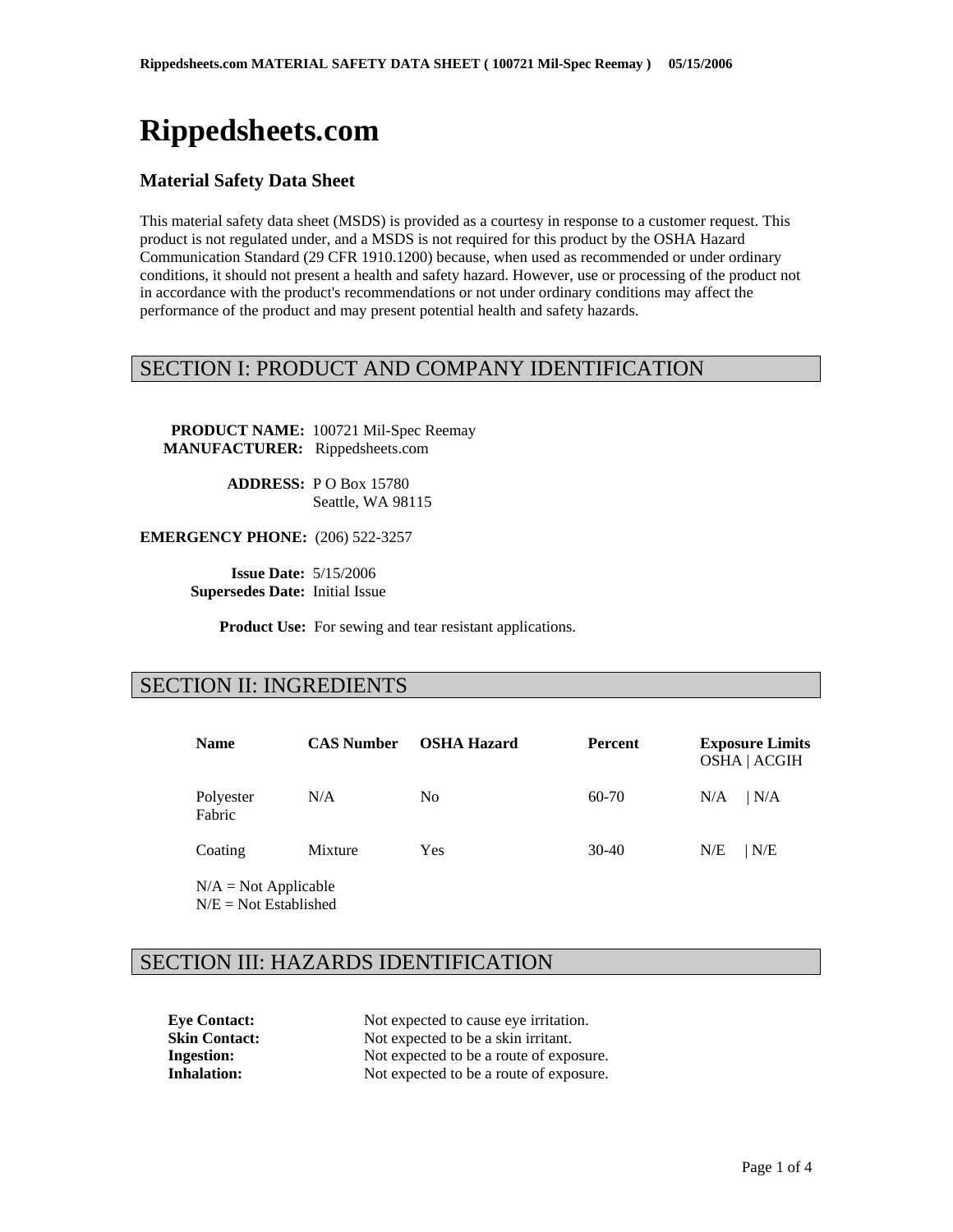# **Rippedsheets.com**

### **Material Safety Data Sheet**

This material safety data sheet (MSDS) is provided as a courtesy in response to a customer request. This product is not regulated under, and a MSDS is not required for this product by the OSHA Hazard Communication Standard (29 CFR 1910.1200) because, when used as recommended or under ordinary conditions, it should not present a health and safety hazard. However, use or processing of the product not in accordance with the product's recommendations or not under ordinary conditions may affect the performance of the product and may present potential health and safety hazards.

### SECTION I: PRODUCT AND COMPANY IDENTIFICATION

 **PRODUCT NAME:** 100721 Mil-Spec Reemay  **MANUFACTURER:** Rippedsheets.com

> **ADDRESS:** P O Box 15780 Seattle, WA 98115

**EMERGENCY PHONE:** (206) 522-3257

 **Issue Date:** 5/15/2006  **Supersedes Date:** Initial Issue

**Product Use:** For sewing and tear resistant applications.

### SECTION II: INGREDIENTS

| <b>Name</b>               | <b>CAS Number</b> | <b>OSHA Hazard</b> | <b>Percent</b> | <b>Exposure Limits</b><br><b>OSHA   ACGIH</b> |  |
|---------------------------|-------------------|--------------------|----------------|-----------------------------------------------|--|
| Polyester<br>Fabric       | N/A               | N <sub>0</sub>     | 60-70          | N/A <br>N/A                                   |  |
| Coating                   | Mixture           | Yes                | 30-40          | N/E<br>N/E                                    |  |
| $N/A = N_{0}t$ Applicable |                   |                    |                |                                               |  |

 $N/A = Not Applicable$  $N/E = Not$  Established

### SECTION III: HAZARDS IDENTIFICATION

**Eye Contact:** Not expected to cause eye irritation. **Skin Contact:** Not expected to be a skin irritant. **Ingestion:** Not expected to be a route of exposure. **Inhalation:** Not expected to be a route of exposure.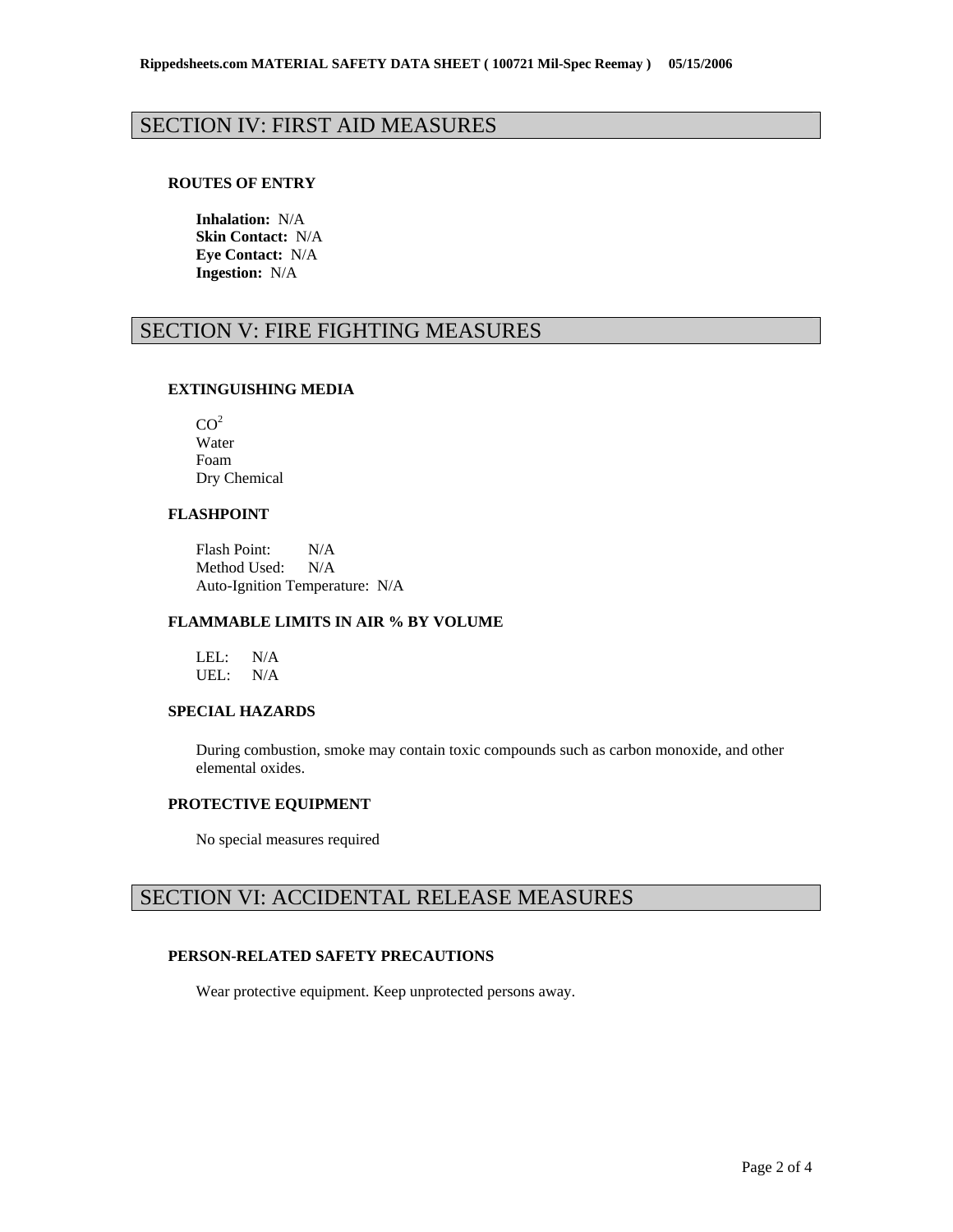## SECTION IV: FIRST AID MEASURES

#### **ROUTES OF ENTRY**

**Inhalation:** N/A **Skin Contact:** N/A **Eye Contact:** N/A **Ingestion:** N/A

# SECTION V: FIRE FIGHTING MEASURES

#### **EXTINGUISHING MEDIA**

| CO <sup>2</sup> |  |
|-----------------|--|
| Water           |  |
| Foam            |  |
| Dry Chemical    |  |

### **FLASHPOINT**

Flash Point: N/A Method Used: N/A Auto-Ignition Temperature: N/A

#### **FLAMMABLE LIMITS IN AIR % BY VOLUME**

LEL: N/A UEL: N/A

### **SPECIAL HAZARDS**

During combustion, smoke may contain toxic compounds such as carbon monoxide, and other elemental oxides.

#### **PROTECTIVE EQUIPMENT**

No special measures required

# SECTION VI: ACCIDENTAL RELEASE MEASURES

#### **PERSON-RELATED SAFETY PRECAUTIONS**

Wear protective equipment. Keep unprotected persons away.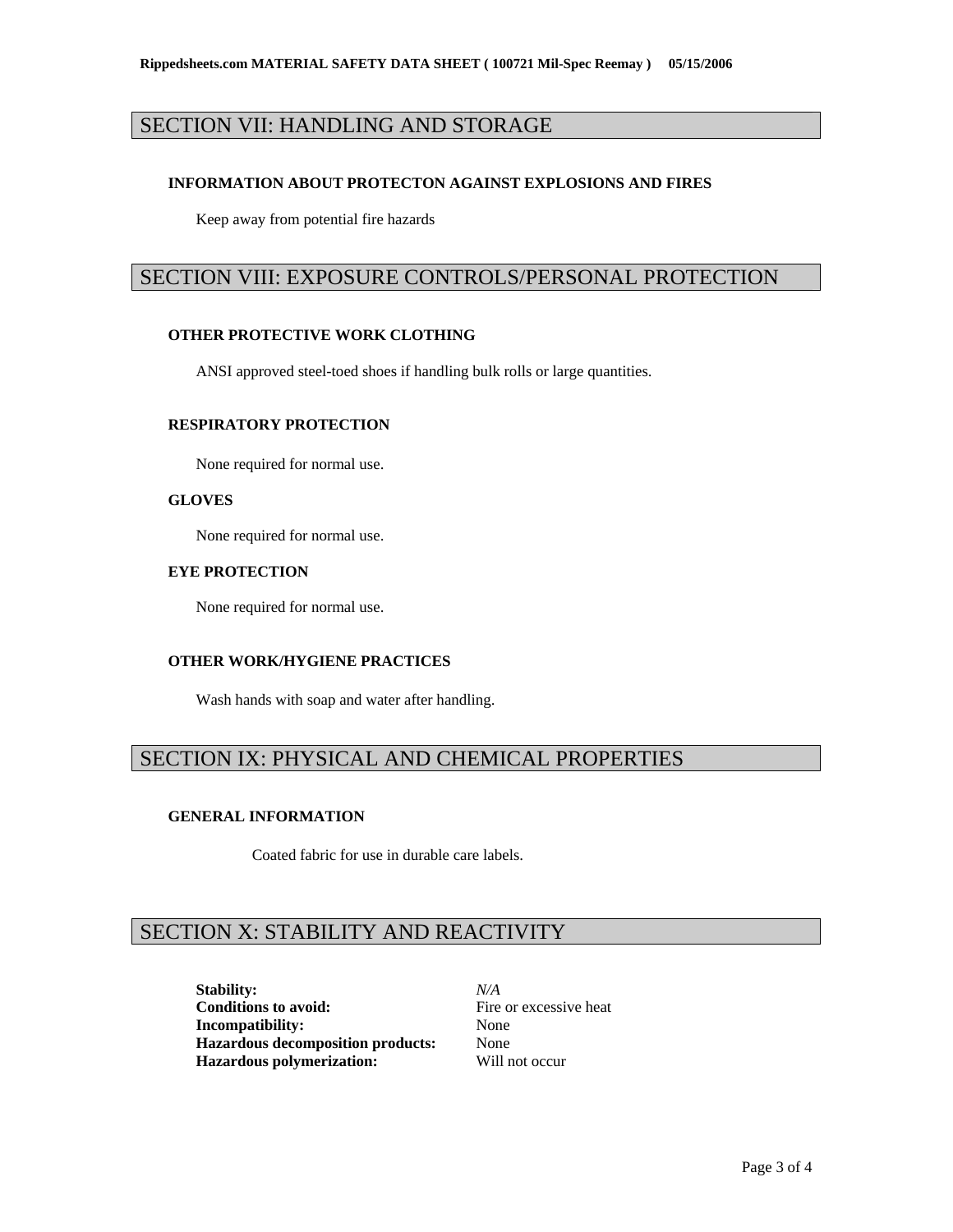# SECTION VII: HANDLING AND STORAGE

#### **INFORMATION ABOUT PROTECTON AGAINST EXPLOSIONS AND FIRES**

Keep away from potential fire hazards

### SECTION VIII: EXPOSURE CONTROLS/PERSONAL PROTECTION

### **OTHER PROTECTIVE WORK CLOTHING**

ANSI approved steel-toed shoes if handling bulk rolls or large quantities.

#### **RESPIRATORY PROTECTION**

None required for normal use.

#### **GLOVES**

None required for normal use.

### **EYE PROTECTION**

None required for normal use.

#### **OTHER WORK/HYGIENE PRACTICES**

Wash hands with soap and water after handling.

### SECTION IX: PHYSICAL AND CHEMICAL PROPERTIES

#### **GENERAL INFORMATION**

Coated fabric for use in durable care labels.

# SECTION X: STABILITY AND REACTIVITY

**Stability:** *N/A* **Conditions to avoid:** Fire or excessive heat **Incompatibility:** None **Hazardous decomposition products:** None **Hazardous polymerization:** Will not occur